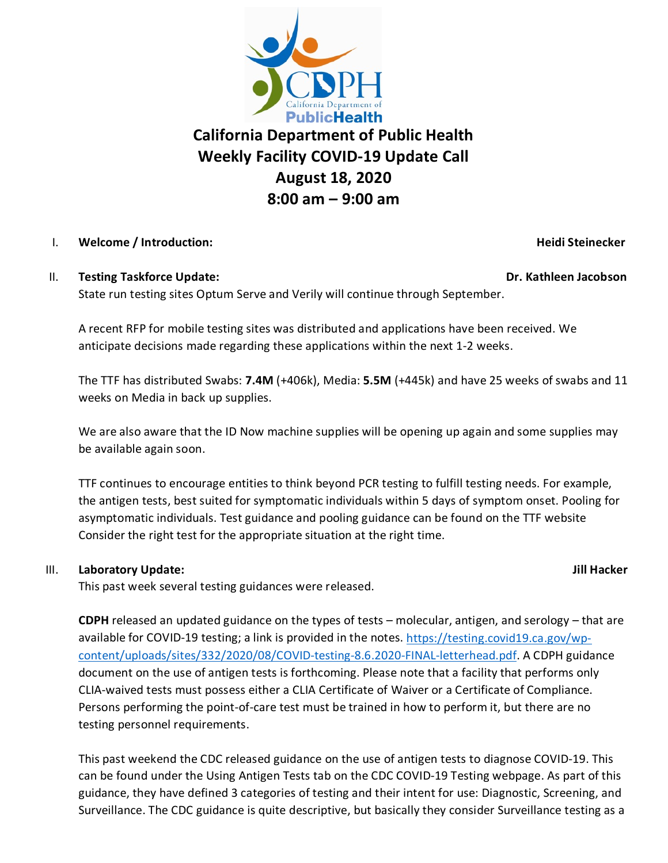

# **California Department of Public Health Weekly Facility COVID-19 Update Call August 18, 2020 8:00 am – 9:00 am**

### I. **Welcome / Introduction: Heidi Steinecker**

### II. **Testing Taskforce Update: Dr. Kathleen Jacobson**

State run testing sites Optum Serve and Verily will continue through September.

A recent RFP for mobile testing sites was distributed and applications have been received. We anticipate decisions made regarding these applications within the next 1-2 weeks.

The TTF has distributed Swabs: **7.4M** (+406k), Media: **5.5M** (+445k) and have 25 weeks of swabs and 11 weeks on Media in back up supplies.

We are also aware that the ID Now machine supplies will be opening up again and some supplies may be available again soon.

TTF continues to encourage entities to think beyond PCR testing to fulfill testing needs. For example, the antigen tests, best suited for symptomatic individuals within 5 days of symptom onset. Pooling for asymptomatic individuals. Test guidance and pooling guidance can be found on the TTF website Consider the right test for the appropriate situation at the right time.

## III. **Laboratory Update: Jill Hacker**

This past week several testing guidances were released.

**CDPH** released an updated guidance on the types of tests – molecular, antigen, and serology – that are available for COVID-19 testing; a link is provided in the notes. [https://testing.covid19.ca.gov/wp](https://testing.covid19.ca.gov/wp-content/uploads/sites/332/2020/08/COVID-testing-8.6.2020-FINAL-letterhead.pdf)[content/uploads/sites/332/2020/08/COVID-testing-8.6.2020-FINAL-letterhead.pdf.](https://testing.covid19.ca.gov/wp-content/uploads/sites/332/2020/08/COVID-testing-8.6.2020-FINAL-letterhead.pdf) A CDPH guidance document on the use of antigen tests is forthcoming. Please note that a facility that performs only CLIA-waived tests must possess either a CLIA Certificate of Waiver or a Certificate of Compliance. Persons performing the point-of-care test must be trained in how to perform it, but there are no testing personnel requirements.

This past weekend the CDC released guidance on the use of antigen tests to diagnose COVID-19. This can be found under the Using Antigen Tests tab on the CDC COVID-19 Testing webpage. As part of this guidance, they have defined 3 categories of testing and their intent for use: Diagnostic, Screening, and Surveillance. The CDC guidance is quite descriptive, but basically they consider Surveillance testing as a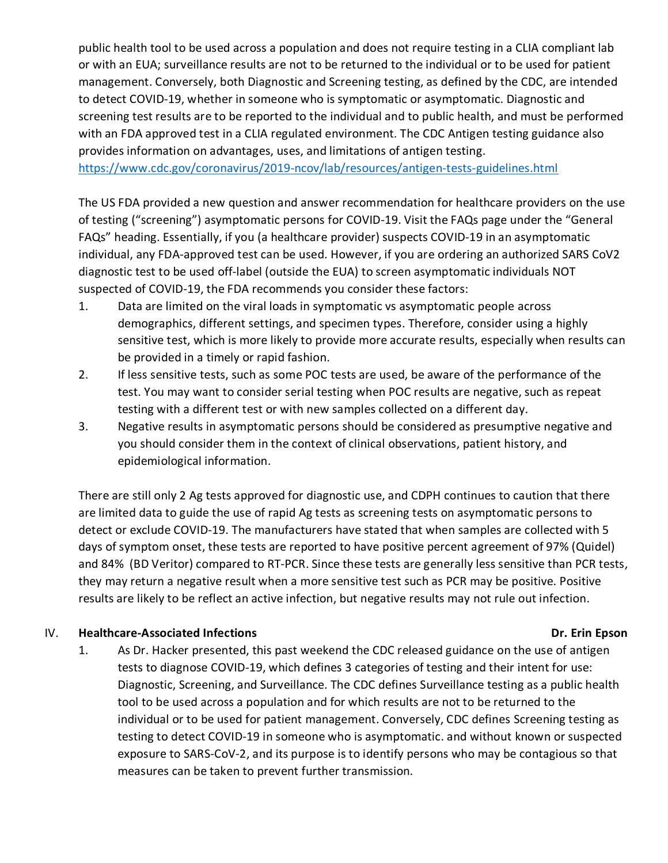public health tool to be used across a population and does not require testing in a CLIA compliant lab or with an EUA; surveillance results are not to be returned to the individual or to be used for patient management. Conversely, both Diagnostic and Screening testing, as defined by the CDC, are intended to detect COVID-19, whether in someone who is symptomatic or asymptomatic. Diagnostic and screening test results are to be reported to the individual and to public health, and must be performed with an FDA approved test in a CLIA regulated environment. The CDC Antigen testing guidance also provides information on advantages, uses, and limitations of antigen testing.

<https://www.cdc.gov/coronavirus/2019-ncov/lab/resources/antigen-tests-guidelines.html>

The US FDA provided a new question and answer recommendation for healthcare providers on the use of testing ("screening") asymptomatic persons for COVID-19. Visit the FAQs page under the "General FAQs" heading. Essentially, if you (a healthcare provider) suspects COVID-19 in an asymptomatic individual, any FDA-approved test can be used. However, if you are ordering an authorized SARS CoV2 diagnostic test to be used off-label (outside the EUA) to screen asymptomatic individuals NOT suspected of COVID-19, the FDA recommends you consider these factors:

- 1. Data are limited on the viral loads in symptomatic vs asymptomatic people across demographics, different settings, and specimen types. Therefore, consider using a highly sensitive test, which is more likely to provide more accurate results, especially when results can be provided in a timely or rapid fashion.
- 2. If less sensitive tests, such as some POC tests are used, be aware of the performance of the test. You may want to consider serial testing when POC results are negative, such as repeat testing with a different test or with new samples collected on a different day.
- 3. Negative results in asymptomatic persons should be considered as presumptive negative and you should consider them in the context of clinical observations, patient history, and epidemiological information.

There are still only 2 Ag tests approved for diagnostic use, and CDPH continues to caution that there are limited data to guide the use of rapid Ag tests as screening tests on asymptomatic persons to detect or exclude COVID-19. The manufacturers have stated that when samples are collected with 5 days of symptom onset, these tests are reported to have positive percent agreement of 97% (Quidel) and 84% (BD Veritor) compared to RT-PCR. Since these tests are generally less sensitive than PCR tests, they may return a negative result when a more sensitive test such as PCR may be positive. Positive results are likely to be reflect an active infection, but negative results may not rule out infection.

### IV. Healthcare-Associated Infections **Dr. Exercise 2018** 2019 12:30 Dr. Erin Epson

1. As Dr. Hacker presented, this past weekend the CDC released guidance on the use of antigen tests to diagnose COVID-19, which defines 3 categories of testing and their intent for use: Diagnostic, Screening, and Surveillance. The CDC defines Surveillance testing as a public health tool to be used across a population and for which results are not to be returned to the individual or to be used for patient management. Conversely, CDC defines Screening testing as testing to detect COVID-19 in someone who is asymptomatic. and without known or suspected exposure to SARS-CoV-2, and its purpose is to identify persons who may be contagious so that measures can be taken to prevent further transmission.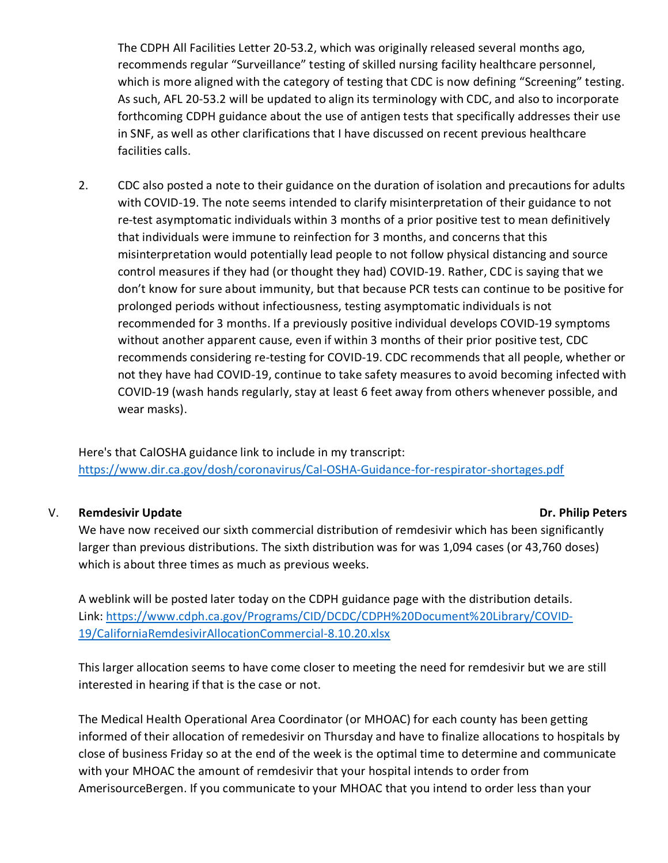The CDPH All Facilities Letter 20-53.2, which was originally released several months ago, recommends regular "Surveillance" testing of skilled nursing facility healthcare personnel, which is more aligned with the category of testing that CDC is now defining "Screening" testing. As such, AFL 20-53.2 will be updated to align its terminology with CDC, and also to incorporate forthcoming CDPH guidance about the use of antigen tests that specifically addresses their use in SNF, as well as other clarifications that I have discussed on recent previous healthcare facilities calls.

2. CDC also posted a note to their guidance on the duration of isolation and precautions for adults with COVID-19. The note seems intended to clarify misinterpretation of their guidance to not re-test asymptomatic individuals within 3 months of a prior positive test to mean definitively that individuals were immune to reinfection for 3 months, and concerns that this misinterpretation would potentially lead people to not follow physical distancing and source control measures if they had (or thought they had) COVID-19. Rather, CDC is saying that we don't know for sure about immunity, but that because PCR tests can continue to be positive for prolonged periods without infectiousness, testing asymptomatic individuals is not recommended for 3 months. If a previously positive individual develops COVID-19 symptoms without another apparent cause, even if within 3 months of their prior positive test, CDC recommends considering re-testing for COVID-19. CDC recommends that all people, whether or not they have had COVID-19, continue to take safety measures to avoid becoming infected with COVID-19 (wash hands regularly, stay at least 6 feet away from others whenever possible, and wear masks).

Here's that CalOSHA guidance link to include in my transcript: <https://www.dir.ca.gov/dosh/coronavirus/Cal-OSHA-Guidance-for-respirator-shortages.pdf>

#### V. Remdesivir Update **Dr. Philip Peters**

We have now received our sixth commercial distribution of remdesivir which has been significantly larger than previous distributions. The sixth distribution was for was 1,094 cases (or 43,760 doses) which is about three times as much as previous weeks.

A weblink will be posted later today on the CDPH guidance page with the distribution details. Link: [https://www.cdph.ca.gov/Programs/CID/DCDC/CDPH%20Document%20Library/COVID-](https://www.cdph.ca.gov/Programs/CID/DCDC/CDPH%20Document%20Library/COVID-19/CaliforniaRemdesivirAllocationCommercial-8.10.20.xlsx)[19/CaliforniaRemdesivirAllocationCommercial-8.10.20.xlsx](https://www.cdph.ca.gov/Programs/CID/DCDC/CDPH%20Document%20Library/COVID-19/CaliforniaRemdesivirAllocationCommercial-8.10.20.xlsx)

This larger allocation seems to have come closer to meeting the need for remdesivir but we are still interested in hearing if that is the case or not.

The Medical Health Operational Area Coordinator (or MHOAC) for each county has been getting informed of their allocation of remedesivir on Thursday and have to finalize allocations to hospitals by close of business Friday so at the end of the week is the optimal time to determine and communicate with your MHOAC the amount of remdesivir that your hospital intends to order from AmerisourceBergen. If you communicate to your MHOAC that you intend to order less than your